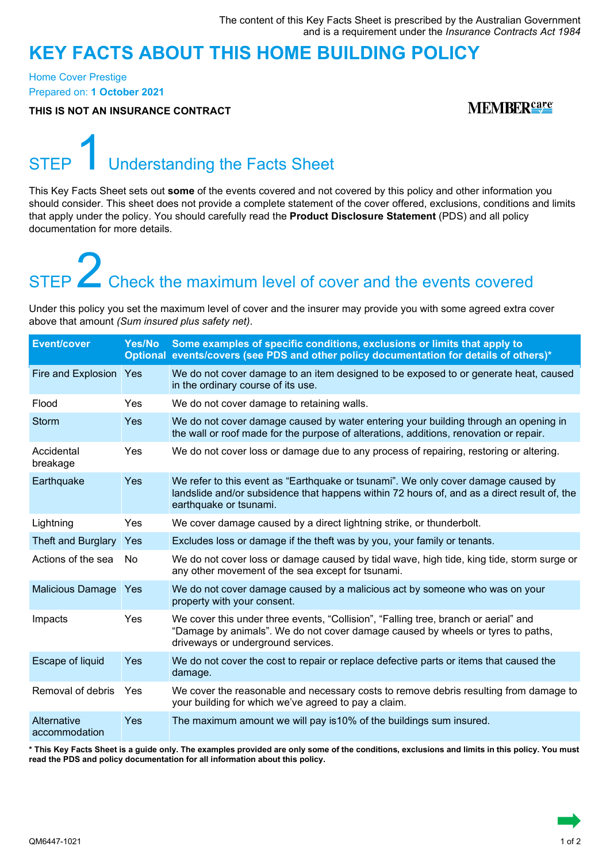### **KEY FACTS ABOUT THIS HOME BUILDING POLICY**

Home Cover Prestige Prepared on: **1 October 2021**

**THIS IS NOT AN INSURANCE CONTRACT**

#### **MEMBERS**

### STEP Understanding the Facts Sheet

This Key Facts Sheet sets out **some** of the events covered and not covered by this policy and other information you should consider. This sheet does not provide a complete statement of the cover offered, exclusions, conditions and limits that apply under the policy. You should carefully read the **Product Disclosure Statement** (PDS) and all policy documentation for more details.

# STEP **2** Check the maximum level of cover and the events covered

Under this policy you set the maximum level of cover and the insurer may provide you with some agreed extra cover above that amount *(Sum insured plus safety net)*.

| <b>Event/cover</b>           | Yes/No    | Some examples of specific conditions, exclusions or limits that apply to<br>Optional events/covers (see PDS and other policy documentation for details of others)*                                           |
|------------------------------|-----------|--------------------------------------------------------------------------------------------------------------------------------------------------------------------------------------------------------------|
| Fire and Explosion Yes       |           | We do not cover damage to an item designed to be exposed to or generate heat, caused<br>in the ordinary course of its use.                                                                                   |
| Flood                        | Yes       | We do not cover damage to retaining walls.                                                                                                                                                                   |
| <b>Storm</b>                 | Yes       | We do not cover damage caused by water entering your building through an opening in<br>the wall or roof made for the purpose of alterations, additions, renovation or repair.                                |
| Accidental<br>breakage       | Yes       | We do not cover loss or damage due to any process of repairing, restoring or altering.                                                                                                                       |
| Earthquake                   | Yes       | We refer to this event as "Earthquake or tsunami". We only cover damage caused by<br>landslide and/or subsidence that happens within 72 hours of, and as a direct result of, the<br>earthquake or tsunami.   |
| Lightning                    | Yes       | We cover damage caused by a direct lightning strike, or thunderbolt.                                                                                                                                         |
| Theft and Burglary           | Yes       | Excludes loss or damage if the theft was by you, your family or tenants.                                                                                                                                     |
| Actions of the sea           | <b>No</b> | We do not cover loss or damage caused by tidal wave, high tide, king tide, storm surge or<br>any other movement of the sea except for tsunami.                                                               |
| <b>Malicious Damage</b>      | Yes       | We do not cover damage caused by a malicious act by someone who was on your<br>property with your consent.                                                                                                   |
| Impacts                      | Yes       | We cover this under three events, "Collision", "Falling tree, branch or aerial" and<br>"Damage by animals". We do not cover damage caused by wheels or tyres to paths,<br>driveways or underground services. |
| Escape of liquid             | Yes       | We do not cover the cost to repair or replace defective parts or items that caused the<br>damage.                                                                                                            |
| Removal of debris            | Yes       | We cover the reasonable and necessary costs to remove debris resulting from damage to<br>your building for which we've agreed to pay a claim.                                                                |
| Alternative<br>accommodation | Yes       | The maximum amount we will pay is 10% of the buildings sum insured.                                                                                                                                          |

**\* This Key Facts Sheet is a guide only. The examples provided are only some of the conditions, exclusions and limits in this policy. You must read the PDS and policy documentation for all information about this policy.**